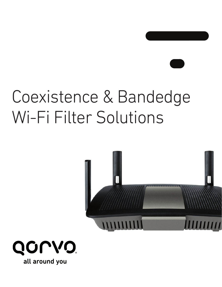# Coexistence & Bandedge Wi-Fi Filter Solutions



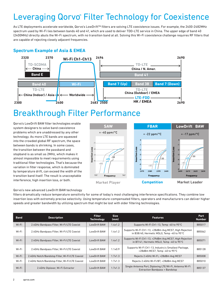# Leveraging Qorvo® Filter Technology for Coexistence

As LTE deployments accelerate worldwide, Qorvo's LowDrift™ filters are solving LTE coexistence issues. For example, the 2400-2482MHz spectrum used by Wi-Fi lies between bands 40 and 41, which are used to deliver TDD-LTE service in China. The upper edge of band 40 (2400MHz) directly abuts the Wi-Fi spectrum, with no transition band at all. Solving this Wi-Fi coexistence challenge requires RF filters that are capable of rejecting closely adjacent frequencies.

## **Spectrum Example of Asia & EMEA**



## Breakthrough Filter Performance

Qorvo's LowDrift BAW filter technologies enable system designers to solve band coexistence problems which are unaddressed by any other technology. As more LTE bands are squeezed into the crowded global RF spectrum, the space between bands is shrinking. In some cases, the transition between the passband and stopband is as small as 2MHz, which makes it almost impossible to meet requirements using traditional filter technologies. That's because the variation in filter response, which is dominated by temperature drift, can exceed the width of the transition band itself. The result is unacceptable interference, high insertion loss, or both.



#### Qorvo's new advanced LowDrift BAW technology

filters dramatically reduce temperature sensitivity for some of today's most challenging interference specifications. They combine low insertion loss with extremely precise selectivity. Using temperature-compensated filters, operators and manufacturers can deliver higher speeds and greater bandwidth by utilizing spectrum that might be lost with older filtering technologies.

| <b>Band</b> | <b>Description</b>                              | <b>Filter</b><br><b>Technology</b> | <b>Size</b><br>(mm) | <b>Features</b>                                                                                      | Part<br><b>Number</b> |
|-------------|-------------------------------------------------|------------------------------------|---------------------|------------------------------------------------------------------------------------------------------|-----------------------|
| Wi-Fi       | 2.4GHz Bandpass Filter, Wi-Fi/LTE Coexist       | <b>LowDrift BAW</b>                | 1.4x1.2             | Supports Wi-Fi Ch1-13, Temp -40 to 95°C                                                              | 885017                |
| Wi-Fi       | 2.4GHz Bandpass Filter, Wi-Fi/LTE Coexist       | LowDrift BAW                       | $1.4 \times 1.2$    | Supports Wi-Fi Ch1-13, +28dBm Avg MCS7, High Rejection<br>in B38/40, Hermetic MSL0, Temp -40 to 95°C | 885062                |
| Wi-Fi       | 2.4GHz Bandpass Filter, Wi-Fi/LTE Coexist       | LowDrift BAW                       | $1.4 \times 1.2$    | Supports Wi-Fi Ch1-13, +29dBm Avg MCS7, High Rejection<br>in B7/41, Hermetic MSL0, Temp -40 to 95°C  | 885071                |
| Wi-Fi       | 2.4GHz Bandpass Filter, Wi-Fi/LTE Coexist       | LowDrift BAW                       | $1.1 \times 0.9$    | Supports Wi-Fi Ch1-13, Industry's Smallest Package,<br>+28dBm MCS7, Temp -40 to 95°C                 | 885128                |
| Wi-Fi       | 2.4GHz Notch/Bandstop Filter, Wi-Fi/LTE Coexist | LowDrift BAW                       | 1.7x1.3             | Rejects 2.4GHz Wi-Fi, +28dBm Avg MCS7                                                                | 885008                |
| Wi-Fi       | 2.4GHz Notch/Bandstop Filter, Wi-Fi/LTE Coexist | LowDrift BAW                       | $1.7 \times 1.3$    | Rejects 2.4GHz Wi-Fi/BT, +28dBm Avg MCS7                                                             | 885010                |
| Wi-Fi       | 2.4GHz Diplexer, Wi-Fi Extractor                | LowDrift BAW                       | $1.7 \times 1.3$    | Single Antenna Port, Diplexing LTE/Wi-Fi, Antenna Wi-Fi<br><b>Extraction Bandpass + Bandstop</b>     | 885137                |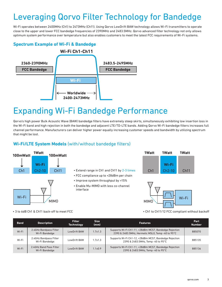# Leveraging Qorvo Filter Technology for Bandedge

Wi-Fi operates between 2400MHz (Ch1) to 2473MHz (Ch11). Using Qorvo LowDrift BAW technology allows Wi-Fi transmitters to operate close to the upper and lower FCC bandedge frequencies of 2390MHz and 2483.5MHz. Qorvo advanced filter technology not only allows optimum system performance over temperature but also enables customers to meet the latest FCC requirements of Wi-Fi systems.

## **Spectrum Example of Wi-Fi & Bandedge**



## Expanding Wi-Fi Bandedge Performance

Qorvo's high power Bulk Acoustic Wave (BAW) bandedge filters have extremely steep skirts, simultaneously exhibiting low insertion loss in the Wi-Fi band and high rejection in both the bandedge and adjacent LTE/TD-LTE bands. Adding Qorvo Wi-Fi bandedge filters increases full channel performance. Manufacturers can deliver higher power equally increasing customer speeds and bandwidth by utilizing spectrum that might be lost.

### **Wi-Fi/LTE System Models** (with/without bandedge filters)



- Extend range in Ch1 and Ch11 by 2-3 times
- FCC compliance up to +28dBm per chain
- Improve system throughput by >15%
- Enable Mu-MIMO with less co-channel interface





• Ch1 to Ch11/12 FCC compliant without backoff

• 3 to 6dB Ch1 & Ch11 back-off to meet FCC

| <b>Band</b> | <b>Description</b>                        | <b>Filter</b><br><b>Technology</b> | <b>Size</b><br>(mm) | <b>Features</b>                                                                                             | Part<br><b>Number</b> |
|-------------|-------------------------------------------|------------------------------------|---------------------|-------------------------------------------------------------------------------------------------------------|-----------------------|
| Wi-Fi       | 2.4GHz Bandpass Filter<br>Wi-Fi Bandedge  | LowDrift BAW                       | $1.7 \times 1.3$    | Supports Wi-Fi Ch1-11, +28dBm MCS7, Bandedge Rejection<br>2390 & 2483.5MHz, Hermetic MSL0, Temp -40 to 95°C | 885070                |
| Wi-Fi       | 2.4GHz Bandpass Filter<br>Wi-Fi Bandedge  | LowDrift BAW                       | 1.7x1.3             | Supports Wi-Fi Ch1-12, +28dBm MCS7, Bandedge Rejection<br>2390 & 2483.5MHz, Temp -40 to 95°C                | 885135                |
| Wi-Fi       | 2.4GHz Band Pass Filter<br>Wi-Fi Bandedge | LowDrift BAW                       | $1.1 \times 0.9$    | Supports Wi-Fi Ch1-11, +28dBm MCS7, Bandedge Rejection<br>2390 & 2483.5MHz, Temp -40 to 95°C                | 885136                |